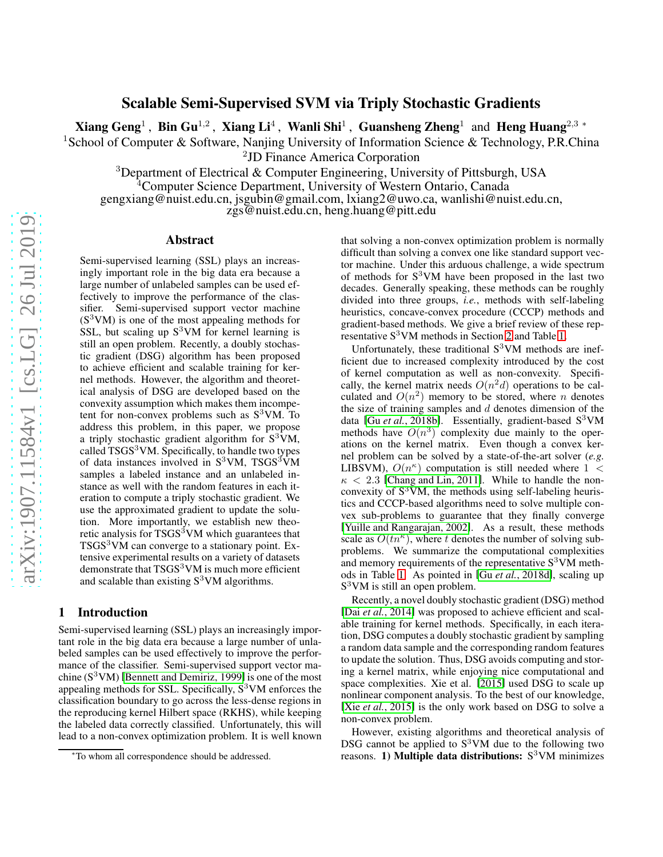# Scalable Semi-Supervised SVM via Triply Stochastic Gradients

Xiang Geng<sup>1</sup>, Bin Gu<sup>1,2</sup>, Xiang Li<sup>4</sup>, Wanli Shi<sup>1</sup>, Guansheng Zheng<sup>1</sup> and Heng Huang<sup>2,3</sup>\*

<sup>1</sup>School of Computer & Software, Nanjing University of Information Science & Technology, P.R.China

2 JD Finance America Corporation

<sup>3</sup>Department of Electrical & Computer Engineering, University of Pittsburgh, USA

<sup>4</sup>Computer Science Department, University of Western Ontario, Canada

gengxiang@nuist.edu.cn, jsgubin@gmail.com, lxiang2@uwo.ca, wanlishi@nuist.edu.cn,

zgs@nuist.edu.cn, heng.huang@pitt.edu

#### Abstract

Semi-supervised learning (SSL) plays an increasingly important role in the big data era because a large number of unlabeled samples can be used effectively to improve the performance of the classifier. Semi-supervised support vector machine  $(S<sup>3</sup>VM)$  is one of the most appealing methods for SSL, but scaling up  $S^3$ VM for kernel learning is still an open problem. Recently, a doubly stochastic gradient (DSG) algorithm has been proposed to achieve efficient and scalable training for kernel methods. However, the algorithm and theoretical analysis of DSG are developed based on the convexity assumption which makes them incompetent for non-convex problems such as  $S^3$ VM. To address this problem, in this paper, we propose a triply stochastic gradient algorithm for  $S^3\overline{V}M$ , called  $TSGS<sup>3</sup>VM$ . Specifically, to handle two types of data instances involved in  $S<sup>3</sup>VM$ , TSGS<sup>3</sup>VM samples a labeled instance and an unlabeled instance as well with the random features in each iteration to compute a triply stochastic gradient. We use the approximated gradient to update the solution. More importantly, we establish new theoretic analysis for  $TSGS<sup>3</sup>VM$  which guarantees that TSGS<sup>3</sup>VM can converge to a stationary point. Extensive experimental results on a variety of datasets demonstrate that  $TSGS<sup>3</sup>VM$  is much more efficient and scalable than existing  $S<sup>3</sup>VM$  algorithms.

# 1 Introduction

Semi-supervised learning (SSL) plays an increasingly important role in the big data era because a large number of unlabeled samples can be used effectively to improve the performance of the classifier. Semi-supervised support vector machine  $(S^3VM)$  [\[Bennett and Demiriz, 1999\]](#page-8-0) is one of the most appealing methods for SSL. Specifically,  $S<sup>3</sup>VM$  enforces the classification boundary to go across the less-dense regions in the reproducing kernel Hilbert space (RKHS), while keeping the labeled data correctly classified. Unfortunately, this will lead to a non-convex optimization problem. It is well known that solving a non-convex optimization problem is normally difficult than solving a convex one like standard support vector machine. Under this arduous challenge, a wide spectrum of methods for  $S<sup>3</sup>VM$  have been proposed in the last two decades. Generally speaking, these methods can be roughly divided into three groups, *i.e.*, methods with self-labeling heuristics, concave-convex procedure (CCCP) methods and gradient-based methods. We give a brief review of these representative S<sup>3</sup>VM methods in Section [2](#page-1-0) and Table [1.](#page-1-1)

Unfortunately, these traditional  $S<sup>3</sup>VM$  methods are inefficient due to increased complexity introduced by the cost of kernel computation as well as non-convexity. Specifically, the kernel matrix needs  $O(n^2d)$  operations to be calculated and  $O(n^2)$  memory to be stored, where n denotes the size of training samples and  $d$  denotes dimension of the data [Gu *et al.*[, 2018b\]](#page-8-1). Essentially, gradient-based S<sup>3</sup>VM methods have  $O(n^3)$  complexity due mainly to the operations on the kernel matrix. Even though a convex kernel problem can be solved by a state-of-the-art solver (*e.g.* LIBSVM),  $O(n^{\kappa})$  computation is still needed where  $1 \leq$  $\kappa$  < 2.3 [\[Chang and Lin, 2011\]](#page-8-2). While to handle the nonconvexity of  $S^3VM$ , the methods using self-labeling heuristics and CCCP-based algorithms need to solve multiple convex sub-problems to guarantee that they finally converge [\[Yuille and Rangarajan, 2002\]](#page-9-0). As a result, these methods scale as  $O(tn^{\kappa})$ , where t denotes the number of solving subproblems. We summarize the computational complexities and memory requirements of the representative  $S<sup>3</sup>VM$  methods in Table [1.](#page-1-1) As pointed in [Gu *et al.*[, 2018d\]](#page-8-3), scaling up S <sup>3</sup>VM is still an open problem.

Recently, a novel doubly stochastic gradient (DSG) method [Dai et al.[, 2014\]](#page-8-4) was proposed to achieve efficient and scalable training for kernel methods. Specifically, in each iteration, DSG computes a doubly stochastic gradient by sampling a random data sample and the corresponding random features to update the solution. Thus, DSG avoids computing and storing a kernel matrix, while enjoying nice computational and space complexities. Xie et al. [\[2015\]](#page-9-1) used DSG to scale up nonlinear component analysis. To the best of our knowledge, [Xie *et al.*[, 2015\]](#page-9-1) is the only work based on DSG to solve a non-convex problem.

However, existing algorithms and theoretical analysis of DSG cannot be applied to  $S<sup>3</sup>VM$  due to the following two reasons. 1) Multiple data distributions:  $S<sup>3</sup>VM$  minimizes

<sup>∗</sup>To whom all correspondence should be addressed.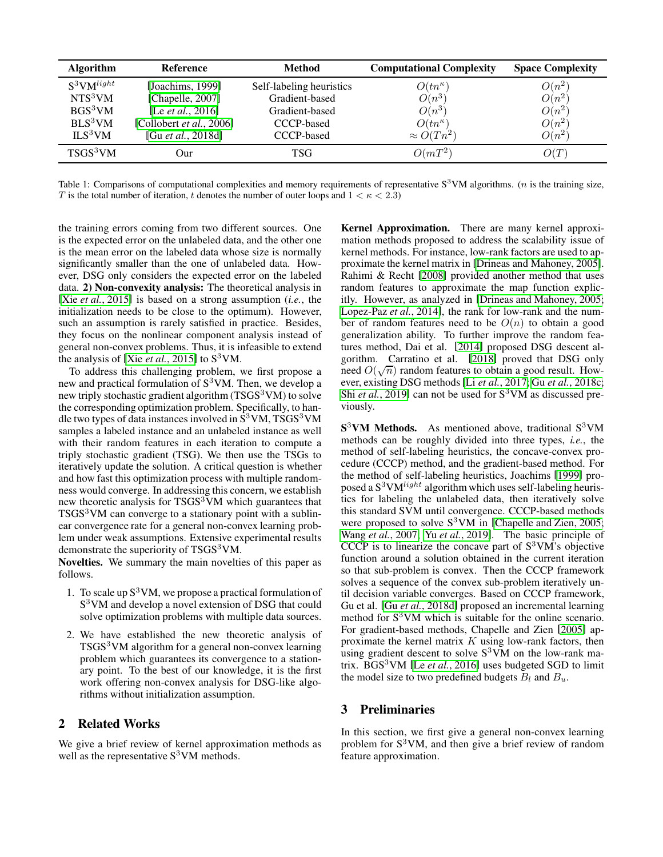<span id="page-1-1"></span>

| <b>Algorithm</b>     | <b>Reference</b>          | <b>Method</b>            | <b>Computational Complexity</b> | <b>Space Complexity</b> |
|----------------------|---------------------------|--------------------------|---------------------------------|-------------------------|
| $S^3$ VM $^{light}$  | [Joachims, 1999]          | Self-labeling heuristics | $O(tn^{\kappa})$                | $O(n^2)$                |
| NTS <sup>3</sup> VM  | [Chapelle, 2007]          | Gradient-based           | $O(n^3)$                        | $O(n^2)$                |
| BGS <sup>3</sup> VM  | [Le <i>et al.</i> , 2016] | Gradient-based           | $O(n^3)$                        | $O(n^2)$                |
| BLS <sup>3</sup> VM  | [Collobert et al., 2006]  | CCCP-based               | $O(tn^{\kappa})$                | $O(n^2)$                |
| ILS <sup>3</sup> VM  | [Gu et al., 2018d]        | CCCP-based               | $\approx O(Tn^2)$               | $O(n^2)$                |
| TSGS <sup>3</sup> VM | Our                       | TSG                      | $O(mT^2)$                       | O(T)                    |

Table 1: Comparisons of computational complexities and memory requirements of representative  $S^3VM$  algorithms. (*n* is the training size, T is the total number of iteration, t denotes the number of outer loops and  $1 < \kappa < 2.3$ )

the training errors coming from two different sources. One is the expected error on the unlabeled data, and the other one is the mean error on the labeled data whose size is normally significantly smaller than the one of unlabeled data. However, DSG only considers the expected error on the labeled data. 2) Non-convexity analysis: The theoretical analysis in [Xie *et al.*[, 2015\]](#page-9-1) is based on a strong assumption (*i.e.*, the initialization needs to be close to the optimum). However, such an assumption is rarely satisfied in practice. Besides, they focus on the nonlinear component analysis instead of general non-convex problems. Thus, it is infeasible to extend the analysis of [Xie *et al.*[, 2015\]](#page-9-1) to  $S<sup>3</sup>VM$ .

To address this challenging problem, we first propose a new and practical formulation of  $S<sup>3</sup>VM$ . Then, we develop a new triply stochastic gradient algorithm (TSGS<sup>3</sup>VM) to solve the corresponding optimization problem. Specifically, to handle two types of data instances involved in  $S<sup>3</sup>VM$ , TSGS<sup>3</sup>VM samples a labeled instance and an unlabeled instance as well with their random features in each iteration to compute a triply stochastic gradient (TSG). We then use the TSGs to iteratively update the solution. A critical question is whether and how fast this optimization process with multiple randomness would converge. In addressing this concern, we establish new theoretic analysis for  $TSGS<sup>3</sup>VM$  which guarantees that  $TSGS<sup>3</sup>VM$  can converge to a stationary point with a sublinear convergence rate for a general non-convex learning problem under weak assumptions. Extensive experimental results demonstrate the superiority of TSGS<sup>3</sup>VM.

Novelties. We summary the main novelties of this paper as follows.

- 1. To scale up  $S^3VM$ , we propose a practical formulation of S<sup>3</sup>VM and develop a novel extension of DSG that could solve optimization problems with multiple data sources.
- 2. We have established the new theoretic analysis of TSGS<sup>3</sup>VM algorithm for a general non-convex learning problem which guarantees its convergence to a stationary point. To the best of our knowledge, it is the first work offering non-convex analysis for DSG-like algorithms without initialization assumption.

## <span id="page-1-0"></span>2 Related Works

We give a brief review of kernel approximation methods as well as the representative  $S^3$ VM methods.

Kernel Approximation. There are many kernel approximation methods proposed to address the scalability issue of kernel methods. For instance, low-rank factors are used to approximate the kernel matrix in [\[Drineas and Mahoney, 2005\]](#page-8-9). Rahimi & Recht [\[2008\]](#page-8-10) provided another method that uses random features to approximate the map function explicitly. However, as analyzed in [\[Drineas and Mahoney, 2005;](#page-8-9) [Lopez-Paz](#page-8-11) *et al.*, 2014], the rank for low-rank and the number of random features need to be  $O(n)$  to obtain a good generalization ability. To further improve the random features method, Dai et al. [\[2014\]](#page-8-4) proposed DSG descent algorithm. Carratino et al. [\[2018\]](#page-8-12) proved that DSG only need  $O(\sqrt{n})$  random features to obtain a good result. However, existing DSG methods[Li *et al.*[, 2017;](#page-8-13) Gu *et al.*[, 2018c;](#page-8-14) Shi *et al.*[, 2019\]](#page-9-2) can not be used for S<sup>3</sup>VM as discussed previously.

 $S<sup>3</sup>VM$  Methods. As mentioned above, traditional  $S<sup>3</sup>VM$ methods can be roughly divided into three types, *i.e.*, the method of self-labeling heuristics, the concave-convex procedure (CCCP) method, and the gradient-based method. For the method of self-labeling heuristics, Joachims [\[1999\]](#page-8-5) proposed a  $S^3VM^{light}$  algorithm which uses self-labeling heuristics for labeling the unlabeled data, then iteratively solve this standard SVM until convergence. CCCP-based methods were proposed to solve  $S^3$ VM in [\[Chapelle and Zien, 2005;](#page-8-15) Wang *et al.*[, 2007;](#page-9-3) Yu *et al.*[, 2019\]](#page-9-4). The basic principle of CCCP is to linearize the concave part of  $S<sup>3</sup>VM's objective$ function around a solution obtained in the current iteration so that sub-problem is convex. Then the CCCP framework solves a sequence of the convex sub-problem iteratively until decision variable converges. Based on CCCP framework, Gu et al. [Gu *et al.*[, 2018d\]](#page-8-3) proposed an incremental learning method for S<sup>3</sup>VM which is suitable for the online scenario. For gradient-based methods, Chapelle and Zien [\[2005\]](#page-8-15) approximate the kernel matrix  $K$  using low-rank factors, then using gradient descent to solve  $S^3VM$  on the low-rank matrix. BGS<sup>3</sup>VM [Le *et al.*[, 2016\]](#page-8-7) uses budgeted SGD to limit the model size to two predefined budgets  $B_l$  and  $B_u$ .

### 3 Preliminaries

In this section, we first give a general non-convex learning problem for  $S<sup>3</sup>VM$ , and then give a brief review of random feature approximation.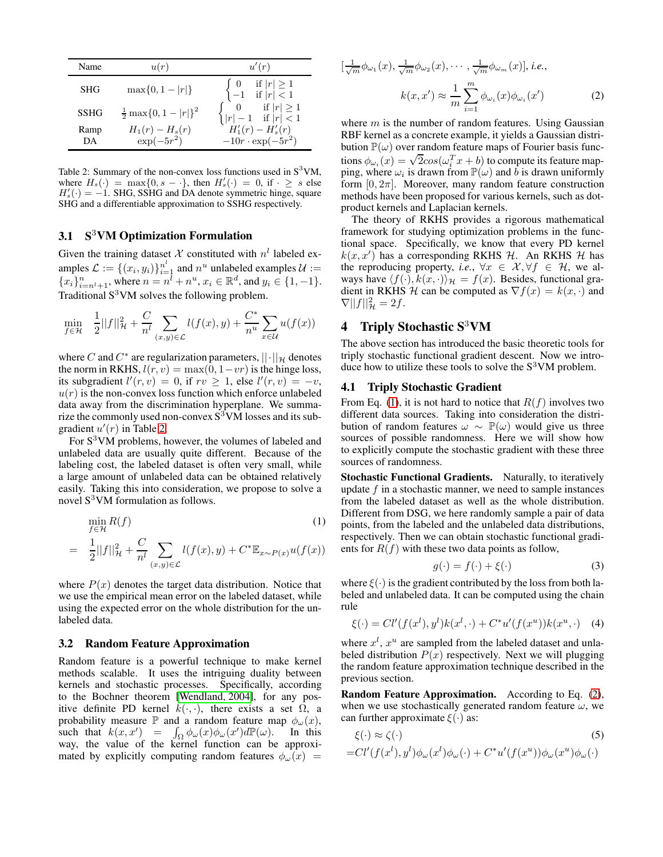<span id="page-2-0"></span>

| Name        | u(r)                               | u'(r)                                                                                                      |  |
|-------------|------------------------------------|------------------------------------------------------------------------------------------------------------|--|
| <b>SHG</b>  | $\max\{0, 1 -  r \}$               | $\left\{ \begin{array}{ll} 0 & \textrm{ if }  r  \geq 1 \\ -1 & \textrm{ if }  r  < 1 \end{array} \right.$ |  |
| <b>SSHG</b> | $\frac{1}{2} \max\{0, 1 -  r \}^2$ | $\begin{cases} 0 & \text{if }  r  \geq 1 \\  r  - 1 & \text{if }  r  < 1 \end{cases}$                      |  |
| Ramp<br>DА  | $H_1(r) - H_s(r)$<br>$\exp(-5r^2)$ | $H'_{1}(r) - H'_{s}(r)$<br>$-10r \cdot \exp(-5r^2)$                                                        |  |

Table 2: Summary of the non-convex loss functions used in  $S<sup>3</sup>VM$ , where  $H_s(\cdot) = \max\{0, s - \cdot\}$ , then  $H'_s(\cdot) = 0$ , if  $\cdot \geq s$  else  $H'_{s}(\cdot) = -1$ . SHG, SSHG and DA denote symmetric hinge, square SHG and a differentiable approximation to SSHG respectively.

### 3.1 S3VM Optimization Formulation

Given the training dataset X constituted with  $n^l$  labeled examples  $\mathcal{L} := \{(x_i, y_i)\}_{i=1}^{n^l}$  and  $n^u$  unlabeled examples  $\mathcal{U} :=$  ${x_i}_{i=n+1}^n$ , where  $n = n^{\overline{l}} + n^u, x_i \in \mathbb{R}^d$ , and  $y_i \in \{1, -1\}$ . Traditional  $S<sup>3</sup>VM$  solves the following problem.

$$
\min_{f \in \mathcal{H}} \frac{1}{2} ||f||_{\mathcal{H}}^2 + \frac{C}{n^l} \sum_{(x,y) \in \mathcal{L}} l(f(x), y) + \frac{C^*}{n^u} \sum_{x \in \mathcal{U}} u(f(x))
$$

where C and  $C^*$  are regularization parameters,  $|| \cdot ||_{\mathcal{H}}$  denotes the norm in RKHS,  $l(r, v) = \max(0, 1 - v r)$  is the hinge loss, its subgradient  $l'(r, v) = 0$ , if  $rv \ge 1$ , else  $l'(r, v) = -v$ ,  $u(r)$  is the non-convex loss function which enforce unlabeled data away from the discrimination hyperplane. We summarize the commonly used non-convex  $S<sup>3</sup>VM$  losses and its subgradient  $u'(r)$  in Table [2.](#page-2-0)

For S<sup>3</sup>VM problems, however, the volumes of labeled and unlabeled data are usually quite different. Because of the labeling cost, the labeled dataset is often very small, while a large amount of unlabeled data can be obtained relatively easily. Taking this into consideration, we propose to solve a novel  $S^3$ VM formulation as follows.

<span id="page-2-1"></span>
$$
\min_{f \in \mathcal{H}} R(f) \tag{1}
$$
\n
$$
= \frac{1}{2} ||f||_{\mathcal{H}}^2 + \frac{C}{n^l} \sum_{(x,y) \in \mathcal{L}} l(f(x), y) + C^* \mathbb{E}_{x \sim P(x)} u(f(x))
$$

where  $P(x)$  denotes the target data distribution. Notice that we use the empirical mean error on the labeled dataset, while using the expected error on the whole distribution for the unlabeled data.

#### 3.2 Random Feature Approximation

Random feature is a powerful technique to make kernel methods scalable. It uses the intriguing duality between kernels and stochastic processes. Specifically, according to the Bochner theorem [\[Wendland, 2004\]](#page-9-5), for any positive definite PD kernel  $k(\cdot, \cdot)$ , there exists a set  $\Omega$ , a probability measure  $\mathbb P$  and a random feature map  $\phi_\omega(x)$ , such that  $k(x, x') = \int_{\Omega} \phi_{\omega}(x) \phi_{\omega}(x') d\mathbb{P}(\omega)$ . In this way, the value of the kernel function can be approximated by explicitly computing random features  $\phi_{\omega}(x)$  =

<span id="page-2-2"></span>
$$
\left[\frac{1}{\sqrt{m}}\phi_{\omega_1}(x), \frac{1}{\sqrt{m}}\phi_{\omega_2}(x), \cdots, \frac{1}{\sqrt{m}}\phi_{\omega_m}(x)\right], i.e.,
$$

$$
k(x, x') \approx \frac{1}{m} \sum_{i=1}^m \phi_{\omega_i}(x)\phi_{\omega_i}(x')
$$
(2)

where  $m$  is the number of random features. Using Gaussian RBF kernel as a concrete example, it yields a Gaussian distribution  $\mathbb{P}(\omega)$  over random feature maps of Fourier basis functions  $\phi_{\omega_i}(x) = \sqrt{2}cos(\omega_i^T x + b)$  to compute its feature mapping, where  $\omega_i$  is drawn from  $\mathbb{P}(\omega)$  and b is drawn uniformly form  $[0, 2\pi]$ . Moreover, many random feature construction methods have been proposed for various kernels, such as dotproduct kernels and Laplacian kernels.

The theory of RKHS provides a rigorous mathematical framework for studying optimization problems in the functional space. Specifically, we know that every PD kernel  $k(x, x')$  has a corresponding RKHS H. An RKHS H has the reproducing property, *i.e.*,  $\forall x \in \mathcal{X}, \forall f \in \mathcal{H}$ , we always have  $\langle f(\cdot), k(x, \cdot) \rangle_{\mathcal{H}} = f(x)$ . Besides, functional gradient in RKHS H can be computed as  $\nabla f(x) = k(x, \cdot)$  and  $\nabla ||f||^2_{\mathcal{H}} = 2f.$ 

### 4 Triply Stochastic S<sup>3</sup>VM

The above section has introduced the basic theoretic tools for triply stochastic functional gradient descent. Now we introduce how to utilize these tools to solve the  $S<sup>3</sup>VM$  problem.

### 4.1 Triply Stochastic Gradient

From Eq. [\(1\)](#page-2-1), it is not hard to notice that  $R(f)$  involves two different data sources. Taking into consideration the distribution of random features  $\omega \sim \mathbb{P}(\omega)$  would give us three sources of possible randomness. Here we will show how to explicitly compute the stochastic gradient with these three sources of randomness.

Stochastic Functional Gradients. Naturally, to iteratively update  $f$  in a stochastic manner, we need to sample instances from the labeled dataset as well as the whole distribution. Different from DSG, we here randomly sample a pair of data points, from the labeled and the unlabeled data distributions, respectively. Then we can obtain stochastic functional gradients for  $R(f)$  with these two data points as follow,

$$
g(\cdot) = f(\cdot) + \xi(\cdot) \tag{3}
$$

where  $\xi(\cdot)$  is the gradient contributed by the loss from both labeled and unlabeled data. It can be computed using the chain rule

$$
\xi(\cdot) = Cl'(f(x^l), y^l)k(x^l, \cdot) + C^*u'(f(x^u))k(x^u, \cdot) \quad (4)
$$

where  $x^l$ ,  $x^u$  are sampled from the labeled dataset and unlabeled distribution  $P(x)$  respectively. Next we will plugging the random feature approximation technique described in the previous section.

Random Feature Approximation. According to Eq. [\(2\)](#page-2-2), when we use stochastically generated random feature  $\omega$ , we can further approximate  $\xi(\cdot)$  as:

$$
\xi(\cdot) \approx \zeta(\cdot) \tag{5}
$$
  
= $Cl'(f(x^l), y^l)\phi_\omega(x^l)\phi_\omega(\cdot) + C^*u'(f(x^u))\phi_\omega(x^u)\phi_\omega(\cdot)$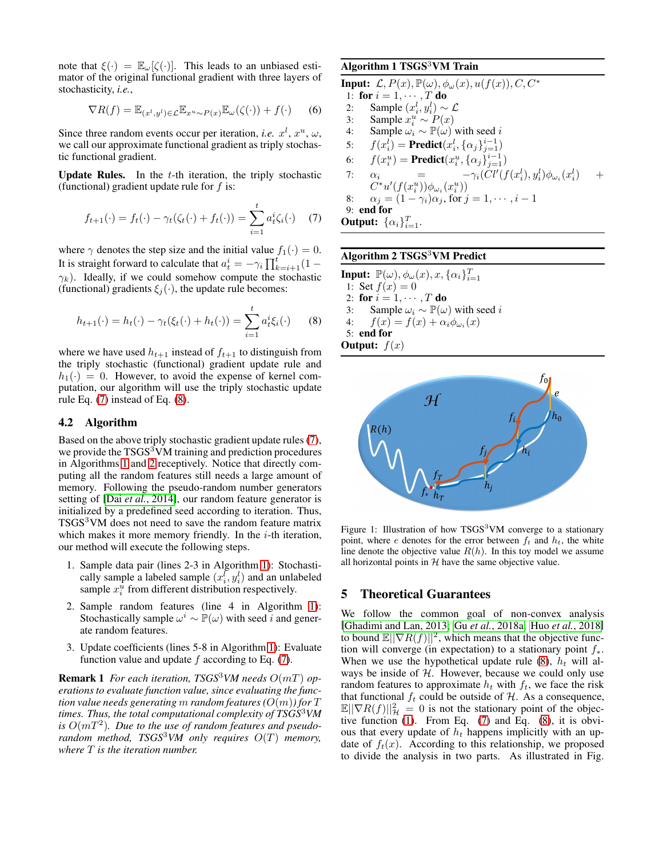note that  $\xi(\cdot) = \mathbb{E}_{\omega}[\zeta(\cdot)].$  This leads to an unbiased estimator of the original functional gradient with three layers of stochasticity, *i.e.*,

$$
\nabla R(f) = \mathbb{E}_{(x^l, y^l) \in \mathcal{L}} \mathbb{E}_{x^u \sim P(x)} \mathbb{E}_{\omega}(\zeta(\cdot)) + f(\cdot) \qquad (6)
$$

Since three random events occur per iteration, *i.e.*  $x^l$ ,  $x^u$ ,  $\omega$ , we call our approximate functional gradient as triply stochastic functional gradient.

Update Rules. In the  $t$ -th iteration, the triply stochastic (functional) gradient update rule for  $f$  is:

$$
f_{t+1}(\cdot) = f_t(\cdot) - \gamma_t(\zeta_t(\cdot) + f_t(\cdot)) = \sum_{i=1}^t a_t^i \zeta_i(\cdot) \quad (7)
$$

where  $\gamma$  denotes the step size and the initial value  $f_1(\cdot) = 0$ . It is straight forward to calculate that  $a_t^i = -\gamma_i \prod_{k=i+1}^t (1 \gamma_k$ ). Ideally, if we could somehow compute the stochastic (functional) gradients  $\xi_j(\cdot)$ , the update rule becomes:

$$
h_{t+1}(\cdot) = h_t(\cdot) - \gamma_t(\xi_t(\cdot) + h_t(\cdot)) = \sum_{i=1}^t a_t^i \xi_i(\cdot) \qquad (8)
$$

where we have used  $h_{t+1}$  instead of  $f_{t+1}$  to distinguish from the triply stochastic (functional) gradient update rule and  $h_1(\cdot) = 0$ . However, to avoid the expense of kernel computation, our algorithm will use the triply stochastic update rule Eq. [\(7\)](#page-3-0) instead of Eq. [\(8\)](#page-3-1).

#### 4.2 Algorithm

Based on the above triply stochastic gradient update rules [\(7\)](#page-3-0), we provide the TSGS<sup>3</sup>VM training and prediction procedures in Algorithms [1](#page-3-2) and [2](#page-3-3) receptively. Notice that directly computing all the random features still needs a large amount of memory. Following the pseudo-random number generators setting of [Dai *et al.*[, 2014\]](#page-8-4), our random feature generator is initialized by a predefined seed according to iteration. Thus, TSGS<sup>3</sup>VM does not need to save the random feature matrix which makes it more memory friendly. In the  $i$ -th iteration, our method will execute the following steps.

- 1. Sample data pair (lines 2-3 in Algorithm [1\)](#page-3-2): Stochastically sample a labeled sample  $(x_i^l, y_i^l)$  and an unlabeled sample  $x_i^{\bar{u}}$  from different distribution respectively.
- 2. Sample random features (line 4 in Algorithm [1\)](#page-3-2): Stochastically sample  $\omega^i \sim \mathbb{P}(\omega)$  with seed i and generate random features.
- 3. Update coefficients (lines 5-8 in Algorithm [1\)](#page-3-2): Evaluate function value and update  $f$  according to Eq. [\(7\)](#page-3-0).

**Remark 1** *For each iteration, TSGS<sup>3</sup>VM needs*  $O(mT)$  *operations to evaluate function value, since evaluating the function value needs generating* m *random features*  $(O(m))$  for T *times. Thus, the total computational complexity of TSGS*<sup>3</sup>*VM* is  $O(mT^2)$ . Due to the use of random features and pseudo*random method, TSGS<sup>3</sup>VM only requires*  $O(T)$  *memory, where* T *is the iteration number.*

### <span id="page-3-2"></span>Algorithm 1 TSGS<sup>3</sup>VM Train

**Input:**  $\mathcal{L}, P(x), \mathbb{P}(\omega), \phi_{\omega}(x), u(f(x)), C, C^*$ 1: for  $i = 1, \dots, T$  do<br>2: Sample  $(x_i^l, y_i^l)$ 2: Sample  $(x_i^l, y_i^l) \sim \mathcal{L}$ 3: Sample  $x_i^u \sim P(x)$ 4: Sample  $\omega_i \sim \mathbb{P}(\omega)$  with seed i 5:  $f(x_i^l) = \text{Predict}(x_i^l, {\{\alpha_j\}}_{j=1}^{i-1})$ 6:  $f(x_i^u) = \text{Predict}(x_i^u, {\{\alpha_j\}}_{j=1}^{i-1})$  $\mathbf{u}^{u}_{i}$ ) = Predict $(x^{u}_{i}, \{\alpha_{j}\}_{i=1}^{i-1})$ 7:  $\alpha_i = -\gamma_i(Cl'(f(x_i^l), y_i^l)\phi_{\omega_i}(x_i^l) +$  $C^*u'(f(x_i^u))\phi_{\omega_i}(x_i^u))$ 8:  $\alpha_j = (1 - \gamma_i)\alpha_j$ , for  $j = 1, \dots, i - 1$ 8:  $\alpha_j = (1 - \gamma_i)\alpha_j$ , for  $j = 1, \dots, i - 1$ <br>9: **end for Output:**  $\{\alpha_i\}_{i=1}^T$ .

## <span id="page-3-3"></span><span id="page-3-0"></span>Algorithm 2  $\mathrm{TSGS}^3\mathrm{VM}$  Predict

<span id="page-3-1"></span>**Input:**  $\mathbb{P}(\omega), \phi_{\omega}(x), x, {\alpha_i}_{i=1}^T$ 1: Set  $f(x) = 0$ 2: for  $i = 1, \dots, T$  do<br>3: Sample  $\omega_i \sim \mathbb{P}(\omega)$ 3: Sample  $\omega_i \sim \mathbb{P}(\omega)$  with seed *i*<br>4:  $f(x) = f(x) + \alpha_i \phi_{\omega_i}(x)$ 4:  $f(x) = f(x) + \alpha_i \phi_{\omega_i}(x)$ 5: end for **Output:**  $f(x)$ 

<span id="page-3-4"></span>

Figure 1: Illustration of how TSGS<sup>3</sup>VM converge to a stationary point, where e denotes for the error between  $f_t$  and  $h_t$ , the white line denote the objective value  $R(h)$ . In this toy model we assume all horizontal points in  $H$  have the same objective value.

#### 5 Theoretical Guarantees

We follow the common goal of non-convex analysis [\[Ghadimi and Lan, 2013;](#page-8-16) Gu *et al.*[, 2018a;](#page-8-17) Huo *et al.*[, 2018\]](#page-8-18) to bound  $\mathbb{E}||\nabla R(f)||^2$ , which means that the objective function will converge (in expectation) to a stationary point  $f_*$ . When we use the hypothetical update rule [\(8\)](#page-3-1),  $h_t$  will always be inside of  $H$ . However, because we could only use random features to approximate  $h_t$  with  $f_t$ , we face the risk that functional  $f_t$  could be outside of  $H$ . As a consequence,  $\mathbb{E} \|\nabla R(f)\|_{\mathcal{H}}^2 = 0$  is not the stationary point of the objective function [\(1\)](#page-2-1). From Eq. [\(7\)](#page-3-0) and Eq. [\(8\)](#page-3-1), it is obvious that every update of  $h_t$  happens implicitly with an update of  $f_t(x)$ . According to this relationship, we proposed to divide the analysis in two parts. As illustrated in Fig.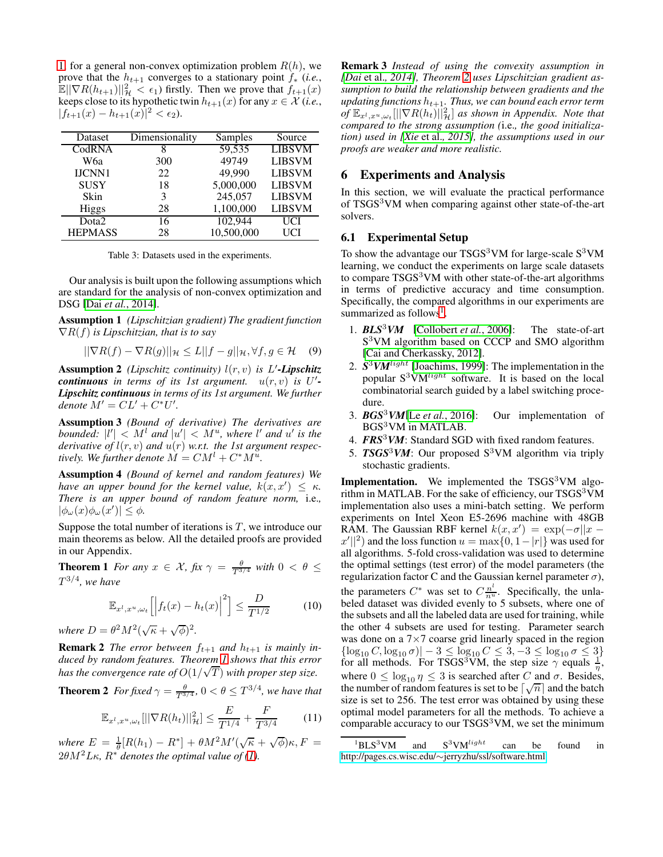[1,](#page-3-4) for a general non-convex optimization problem  $R(h)$ , we prove that the  $h_{t+1}$  converges to a stationary point  $f_*$  (*i.e.*,  $\mathbb{E} \|\nabla R(h_{t+1})\|_{\mathcal{H}}^2 < \epsilon_1$ ) firstly. Then we prove that  $f_{t+1}(x)$ keeps close to its hypothetic twin  $h_{t+1}(x)$  for any  $x \in \mathcal{X}$  (*i.e.*,  $|f_{t+1}(x) - h_{t+1}(x)|^2 < \epsilon_2.$ 

<span id="page-4-3"></span>

| Dataset        | Dimensionality | Samples    | Source        |
|----------------|----------------|------------|---------------|
| CodRNA         |                | 59,535     | <b>LIBSVM</b> |
| W6a            | 300            | 49749      | <b>LIBSVM</b> |
| IJCNN1         | 22             | 49,990     | <b>LIBSVM</b> |
| <b>SUSY</b>    | 18             | 5,000,000  | <b>LIBSVM</b> |
| Skin           | 3              | 245,057    | <b>LIBSVM</b> |
| <b>Higgs</b>   | 28             | 1,100,000  | <b>LIBSVM</b> |
| Dota2          | 16             | 102,944    | UCI           |
| <b>HEPMASS</b> | 28             | 10,500,000 | UCI           |

Table 3: Datasets used in the experiments.

Our analysis is built upon the following assumptions which are standard for the analysis of non-convex optimization and DSG [Dai *et al.*[, 2014\]](#page-8-4).

Assumption 1 *(Lipschitzian gradient) The gradient function* ∇R(f) *is Lipschitzian, that is to say*

$$
||\nabla R(f) - \nabla R(g)||_{\mathcal{H}} \le L||f - g||_{\mathcal{H}}, \forall f, g \in \mathcal{H} \quad (9)
$$

Assumption 2 *(Lipschitz continuity)* l(r, v) *is* L ′ *-Lipschitz continuous* in terms of its 1st argument.  $u(r, v)$  is U'-*Lipschitz continuous in terms of its 1st argument. We further denote*  $M' = CL' + C^*U'.$ 

Assumption 3 *(Bound of derivative) The derivatives are bounded:*  $|l'| < M^l$  *and*  $|u'| < M^u$ *, where* l' *and* u' *is the derivative of*  $l(r, v)$  *and*  $u(r)$  *w.r.t. the 1st argument respectively.* We further denote  $M = CM^{l} + C^{*}M^{u}$ .

Assumption 4 *(Bound of kernel and random features) We have an upper bound for the kernel value,*  $k(x, x') \leq \kappa$ . *There is an upper bound of random feature norm,* i.e.*,*  $|\phi_{\omega}(x)\phi_{\omega}(x')| \leq \phi.$ 

Suppose the total number of iterations is  $T$ , we introduce our main theorems as below. All the detailed proofs are provided in our Appendix.

**Theorem 1** *For any*  $x \in \mathcal{X}$ ,  $f(x \gamma) = \frac{\theta}{T^{3/4}}$  *with*  $0 < \theta \le$  $T^{3/4}$ , we have

<span id="page-4-0"></span>
$$
\mathbb{E}_{x^l, x^u, \omega_t} \left[ \left| f_t(x) - h_t(x) \right|^2 \right] \le \frac{D}{T^{1/2}} \tag{10}
$$

*where*  $D = \theta^2 M^2 (\sqrt{\kappa} + \sqrt{\phi})^2$ .

**Remark 2** *The error between*  $f_{t+1}$  *and*  $h_{t+1}$  *is mainly induced by random features. Theorem [1](#page-4-0) shows that this error has the convergence rate of*  $O(1/\sqrt{T})$  *with proper step size.* 

<span id="page-4-1"></span>**Theorem 2** For fixed  $\gamma = \frac{\theta}{T^{3/4}}$ ,  $0 < \theta \le T^{3/4}$ , we have that

$$
\mathbb{E}_{x^l, x^u, \omega_t} [||\nabla R(h_t)||_{{\mathcal{H}}}^2] \le \frac{E}{T^{1/4}} + \frac{F}{T^{3/4}} \tag{11}
$$

where  $E = \frac{1}{\theta} [R(h_1) - R^*] + \theta M^2 M' (\sqrt{\kappa} + \sqrt{\phi}) \kappa, F =$  $2\theta M^2 L \kappa$ ,  $R^*$  *denotes the optimal value of [\(1\)](#page-2-1).* 

Remark 3 *Instead of using the convexity assumption in [Dai* et al.*[, 2014\]](#page-8-4), Theorem [2](#page-4-1) uses Lipschitzian gradient assumption to build the relationship between gradients and the updating functions*  $h_{t+1}$ *. Thus, we can bound each error term*  $\widehat{F}_{\mathbf{x}^t, \mathbf{x}^u, \omega_t}[\|\nabla R(h_t)\|_{\mathcal{H}}^2]$  as shown in Appendix. Note that *compared to the strong assumption (*i.e.*, the good initialization) used in [Xie* et al.*[, 2015\]](#page-9-1), the assumptions used in our proofs are weaker and more realistic.*

#### 6 Experiments and Analysis

In this section, we will evaluate the practical performance of TSGS<sup>3</sup>VM when comparing against other state-of-the-art solvers.

#### 6.1 Experimental Setup

To show the advantage our  $TSGS<sup>3</sup>VM$  for large-scale  $S<sup>3</sup>VM$ learning, we conduct the experiments on large scale datasets to compare  $TSGS<sup>3</sup>VM$  with other state-of-the-art algorithms in terms of predictive accuracy and time consumption. Specifically, the compared algorithms in our experiments are summarized as follows<sup>[1](#page-4-2)</sup>.

- 1. *BLS*3*VM* [\[Collobert](#page-8-8) *et al.*, 2006]: The state-of-art S<sup>3</sup>VM algorithm based on CCCP and SMO algorithm [\[Cai and Cherkassky, 2012\]](#page-8-19).
- 2. *S* <sup>3</sup>*VM*light [\[Joachims, 1999\]](#page-8-5): The implementation in the popular  $S^3VM^{light}$  software. It is based on the local combinatorial search guided by a label switching procedure.
- 3. *BGS*3*VM*[Le *et al.*[, 2016\]](#page-8-7): Our implementation of BGS<sup>3</sup>VM in MATLAB.
- 4. **FRS<sup>3</sup>VM**: Standard SGD with fixed random features.
- 5. *TSGS*3*VM*: Our proposed S<sup>3</sup>VM algorithm via triply stochastic gradients.

Implementation. We implemented the TSGS<sup>3</sup>VM algorithm in MATLAB. For the sake of efficiency, our  $TSGS<sup>3</sup>VM$ implementation also uses a mini-batch setting. We perform experiments on Intel Xeon E5-2696 machine with 48GB RAM. The Gaussian RBF kernel  $k(x, x') = \exp(-\sigma ||x - \sigma||)$  $|x'||^2$  and the loss function  $u = \max\{0, 1-|r|\}$  was used for all algorithms. 5-fold cross-validation was used to determine the optimal settings (test error) of the model parameters (the regularization factor C and the Gaussian kernel parameter  $\sigma$ ), the parameters  $C^*$  was set to  $C\frac{n^l}{n^u}$ . Specifically, the unlabeled dataset was divided evenly to 5 subsets, where one of the subsets and all the labeled data are used for training, while the other 4 subsets are used for testing. Parameter search was done on a 7×7 coarse grid linearly spaced in the region  $\{\log_{10} C, \log_{10} \sigma\}$  – 3  $\leq \log_{10} C \leq 3, -3 \leq \log_{10} \sigma \leq 3\}$  for all methods. For TSGS<sup>3</sup>VM, the step size  $\gamma$  equals  $\frac{1}{\eta}$ , where  $0 \leq \log_{10} \eta \leq 3$  is searched after C and  $\sigma$ . Besides, the number of random features is set to be  $\lceil \sqrt{n} \rceil$  and the batch size is set to 256. The test error was obtained by using these optimal model parameters for all the methods. To achieve a comparable accuracy to our  $TSGS<sup>3</sup>VM$ , we set the minimum

<span id="page-4-2"></span> ${}^{1}BLS^{3}VM$  and  $S^{3}VM^{light}$  can be found in http://pages.cs.wisc.edu/∼[jerryzhu/ssl/software.html](http://pages.cs.wisc.edu/~jerryzhu/ssl/software.html)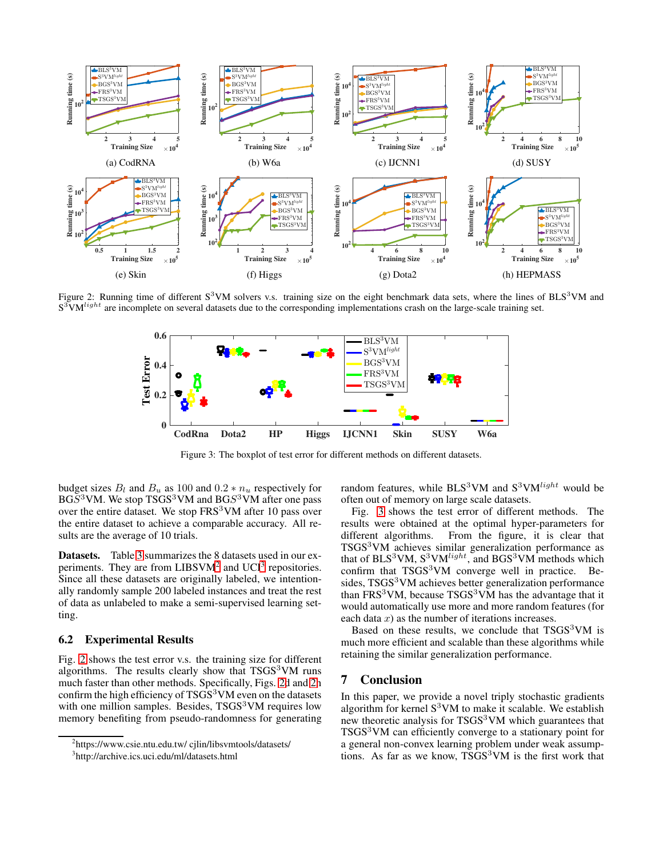<span id="page-5-2"></span>

<span id="page-5-3"></span>Figure 2: Running time of different  $S<sup>3</sup>VM$  solvers v.s. training size on the eight benchmark data sets, where the lines of BLS<sup>3</sup>VM and  $S^3$ VM $^{light}$  are incomplete on several datasets due to the corresponding implementations crash on the large-scale training set.



Figure 3: The boxplot of test error for different methods on different datasets.

budget sizes  $B_l$  and  $B_u$  as 100 and 0.2  $*$   $n_u$  respectively for  $BGS<sup>3</sup>VM$ . We stop TSGS<sup>3</sup>VM and BGS<sup>3</sup>VM after one pass over the entire dataset. We stop FRS<sup>3</sup>VM after 10 pass over the entire dataset to achieve a comparable accuracy. All results are the average of 10 trials.

Datasets. Table [3](#page-4-3) summarizes the 8 datasets used in our experiments. They are from  $LIBSVM<sup>2</sup>$  $LIBSVM<sup>2</sup>$  $LIBSVM<sup>2</sup>$  and  $UCI<sup>3</sup>$  $UCI<sup>3</sup>$  $UCI<sup>3</sup>$  repositories. Since all these datasets are originally labeled, we intentionally randomly sample 200 labeled instances and treat the rest of data as unlabeled to make a semi-supervised learning setting.

#### 6.2 Experimental Results

Fig. [2](#page-5-2) shows the test error v.s. the training size for different algorithms. The results clearly show that  $TSGS<sup>3</sup>VM$  runs much faster than other methods. Specifically, Figs. [2d](#page-5-2) and [2h](#page-5-2) confirm the high efficiency of TSGS<sup>3</sup>VM even on the datasets with one million samples. Besides,  $TSGS<sup>3</sup>VM$  requires low memory benefiting from pseudo-randomness for generating random features, while BLS<sup>3</sup>VM and  $S<sup>3</sup>VM<sup>light</sup>$  would be often out of memory on large scale datasets.

Fig. [3](#page-5-3) shows the test error of different methods. The results were obtained at the optimal hyper-parameters for different algorithms. From the figure, it is clear that TSGS<sup>3</sup>VM achieves similar generalization performance as that of  $BLS<sup>3</sup>VM$ ,  $S<sup>3</sup>VM<sup>light</sup>$ , and  $BGS<sup>3</sup>VM$  methods which confirm that  $TSGS<sup>3</sup>VM$  converge well in practice. Besides, TSGS<sup>3</sup>VM achieves better generalization performance than FRS<sup>3</sup>VM, because TSGS<sup>3</sup>VM has the advantage that it would automatically use more and more random features (for each data  $x$ ) as the number of iterations increases.

Based on these results, we conclude that  $TSGS<sup>3</sup>VM$  is much more efficient and scalable than these algorithms while retaining the similar generalization performance.

### 7 Conclusion

In this paper, we provide a novel triply stochastic gradients algorithm for kernel  $S<sup>3</sup>VM$  to make it scalable. We establish new theoretic analysis for TSGS<sup>3</sup>VM which guarantees that TSGS<sup>3</sup>VM can efficiently converge to a stationary point for a general non-convex learning problem under weak assumptions. As far as we know, TSGS<sup>3</sup>VM is the first work that

<sup>2</sup> https://www.csie.ntu.edu.tw/ cjlin/libsvmtools/datasets/

<span id="page-5-1"></span><span id="page-5-0"></span><sup>3</sup> http://archive.ics.uci.edu/ml/datasets.html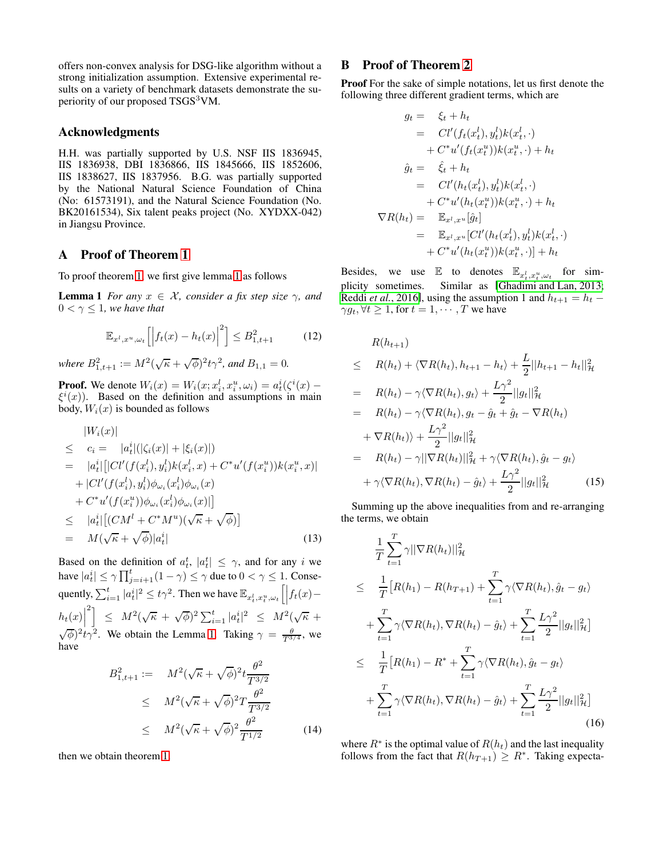offers non-convex analysis for DSG-like algorithm without a strong initialization assumption. Extensive experimental results on a variety of benchmark datasets demonstrate the superiority of our proposed TSGS<sup>3</sup>VM.

### Acknowledgments

H.H. was partially supported by U.S. NSF IIS 1836945, IIS 1836938, DBI 1836866, IIS 1845666, IIS 1852606, IIS 1838627, IIS 1837956. B.G. was partially supported by the National Natural Science Foundation of China (No: 61573191), and the Natural Science Foundation (No. BK20161534), Six talent peaks project (No. XYDXX-042) in Jiangsu Province.

## A Proof of Theorem [1](#page-4-0)

To proof theorem [1,](#page-4-0) we first give lemma [1](#page-6-0) as follows

**Lemma 1** *For any*  $x \in \mathcal{X}$ *, consider a fix step size*  $\gamma$ *, and*  $0 < \gamma \leq 1$ *, we have that* 

$$
\mathbb{E}_{x^l,x^u,\omega_t} \left[ \left| f_t(x) - h_t(x) \right|^2 \right] \le B_{1,t+1}^2 \tag{12}
$$

*where*  $B_{1,t+1}^2 := M^2(\sqrt{\kappa} + \sqrt{\phi})^2 t \gamma^2$ , and  $B_{1,1} = 0$ .

**Proof.** We denote  $W_i(x) = W_i(x; x_i^l, x_i^u, \omega_i) = a_i^i(\zeta^i(x) - \zeta^i)$  $\xi^{i}(x)$ ). Based on the definition and assumptions in main body,  $W_i(x)$  is bounded as follows

$$
|W_i(x)|
$$
  
\n
$$
\leq c_i = |a_t^i|(|\zeta_i(x)| + |\xi_i(x)|)
$$
  
\n
$$
= |a_t^i| [|Cl'(f(x_t^l), y_i^l)k(x_t^l, x) + C^*u'(f(x_t^u))k(x_t^u, x)|
$$
  
\n
$$
+ |Cl'(f(x_t^l), y_i^l) \phi_{\omega_i}(x_t^l) \phi_{\omega_i}(x)
$$
  
\n
$$
+ C^*u'(f(x_t^u)) \phi_{\omega_i}(x_t^l) \phi_{\omega_i}(x)|]
$$
  
\n
$$
\leq |a_t^i| [(CM^l + C^*M^u)(\sqrt{\kappa} + \sqrt{\phi})]
$$
  
\n
$$
= M(\sqrt{\kappa} + \sqrt{\phi})|a_t^i|
$$
\n(13)

Based on the definition of  $a_t^t$ ,  $|a_t^t| \leq \gamma$ , and for any i we have  $|a_t^i| \leq \gamma \prod_{j=i+1}^t (1-\gamma) \leq \gamma$  due to  $0 < \gamma \leq 1$ . Consequently,  $\sum_{i=1}^t |a_i^i|^2 \le t\gamma^2$ . Then we have  $\mathbb{E}_{x_t^l, x_t^u, \omega_t} \left[ \left| f_t(x) \left| h_t(x) \right|$  $\left[ \begin{array}{cc} 2 \\ \leq & M^2(\sqrt{\kappa} + \sqrt{\phi})^2 \sum_{i=1}^t |a_i^i|^2 & \leq & M^2(\sqrt{\kappa} + \sqrt{\phi})^2 \end{array} \right]$  $(\sqrt{\phi})^2 t \gamma^2$ . We obtain the Lemma [1.](#page-6-0) Taking  $\gamma = \frac{\theta}{T^{3/4}}$ , we have

$$
B_{1,t+1}^{2} := M^{2}(\sqrt{\kappa} + \sqrt{\phi})^{2} t \frac{\theta^{2}}{T^{3/2}}
$$
  
\n
$$
\leq M^{2}(\sqrt{\kappa} + \sqrt{\phi})^{2} T \frac{\theta^{2}}{T^{3/2}}
$$
  
\n
$$
\leq M^{2}(\sqrt{\kappa} + \sqrt{\phi})^{2} \frac{\theta^{2}}{T^{1/2}}
$$
(14)

then we obtain theorem [1.](#page-4-0)

# B Proof of Theorem [2](#page-4-1)

Proof For the sake of simple notations, let us first denote the following three different gradient terms, which are

$$
g_t = \xi_t + h_t
$$
  
\n
$$
= Cl'(f_t(x_t^l), y_t^l)k(x_t^l, \cdot)
$$
  
\n
$$
+ C^*u'(f_t(x_t^u))k(x_t^u, \cdot) + h_t
$$
  
\n
$$
\hat{g}_t = \hat{\xi}_t + h_t
$$
  
\n
$$
= Cl'(h_t(x_t^l), y_t^l)k(x_t^l, \cdot)
$$
  
\n
$$
+ C^*u'(h_t(x_t^u))k(x_t^u, \cdot) + h_t
$$
  
\n
$$
\nabla R(h_t) = \mathbb{E}_{x^l, x^u}[\hat{g}_t]
$$
  
\n
$$
= \mathbb{E}_{x^l, x^u}[Cl'(h_t(x_t^l), y_t^l)k(x_t^l, \cdot) + h_t
$$
  
\n
$$
+ C^*u'(h_t(x_t^u))k(x_t^u, \cdot)] + h_t
$$

<span id="page-6-0"></span>Besides, we use  $\mathbb{E}$  to denotes  $\mathbb{E}_{x_t^l, x_t^u, \omega_t}$  for simplicity sometimes. Similar as [\[Ghadimi and Lan, 2013;](#page-8-16) Reddi *et al.*[, 2016\]](#page-8-20), using the assumption 1 and  $h_{t+1} = h_t$  –  $\gamma g_t$ ,  $\forall t \geq 1$ , for  $t = 1, \dots, T$  we have

$$
R(h_{t+1})
$$
\n
$$
\leq R(h_t) + \langle \nabla R(h_t), h_{t+1} - h_t \rangle + \frac{L}{2} ||h_{t+1} - h_t||_{{\mathcal{H}}}^2
$$
\n
$$
= R(h_t) - \gamma \langle \nabla R(h_t), g_t \rangle + \frac{L\gamma^2}{2} ||g_t||_{{\mathcal{H}}}^2
$$
\n
$$
= R(h_t) - \gamma \langle \nabla R(h_t), g_t - \hat{g}_t + \hat{g}_t - \nabla R(h_t)
$$
\n
$$
+ \nabla R(h_t) \rangle + \frac{L\gamma^2}{2} ||g_t||_{{\mathcal{H}}}^2
$$
\n
$$
= R(h_t) - \gamma ||\nabla R(h_t)||_{{\mathcal{H}}}^2 + \gamma \langle \nabla R(h_t), \hat{g}_t - g_t \rangle
$$
\n
$$
+ \gamma \langle \nabla R(h_t), \nabla R(h_t) - \hat{g}_t \rangle + \frac{L\gamma^2}{2} ||g_t||_{{\mathcal{H}}}^2 \qquad (15)
$$

Summing up the above inequalities from and re-arranging the terms, we obtain

$$
\frac{1}{T} \sum_{t=1}^{T} \gamma ||\nabla R(h_t)||_{\mathcal{H}}^2
$$
\n
$$
\leq \frac{1}{T} [R(h_1) - R(h_{T+1}) + \sum_{t=1}^{T} \gamma \langle \nabla R(h_t), \hat{g}_t - g_t \rangle
$$
\n
$$
+ \sum_{t=1}^{T} \gamma \langle \nabla R(h_t), \nabla R(h_t) - \hat{g}_t \rangle + \sum_{t=1}^{T} \frac{L\gamma^2}{2} ||g_t||_{\mathcal{H}}^2]
$$
\n
$$
\leq \frac{1}{T} [R(h_1) - R^* + \sum_{t=1}^{T} \gamma \langle \nabla R(h_t), \hat{g}_t - g_t \rangle
$$
\n
$$
+ \sum_{t=1}^{T} \gamma \langle \nabla R(h_t), \nabla R(h_t) - \hat{g}_t \rangle + \sum_{t=1}^{T} \frac{L\gamma^2}{2} ||g_t||_{\mathcal{H}}^2 ]
$$
\n(16)

where  $R^*$  is the optimal value of  $R(h_t)$  and the last inequality follows from the fact that  $R(h_{T+1}) \geq R^*$ . Taking expecta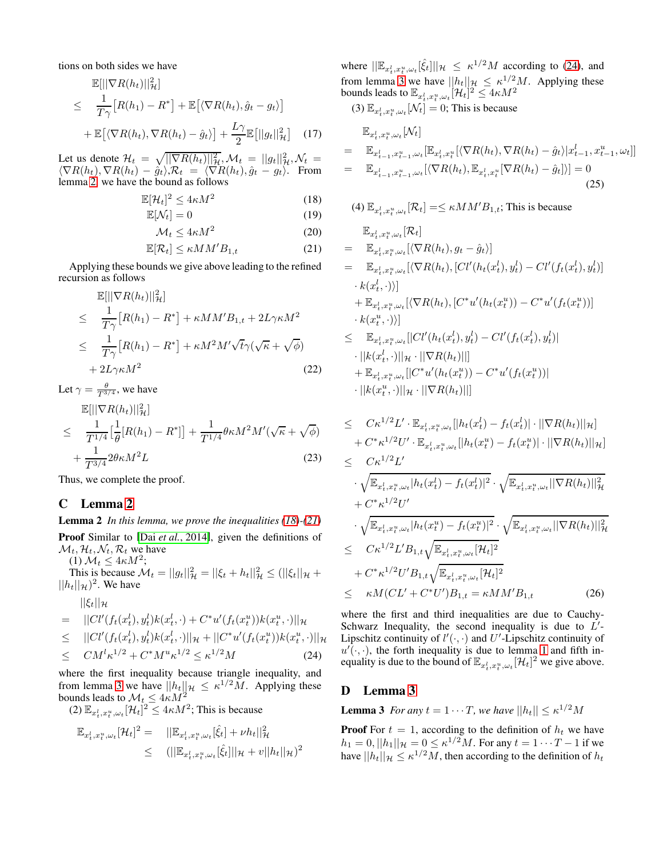tions on both sides we have

$$
\mathbb{E}[||\nabla R(h_t)||_{\mathcal{H}}^2]
$$
\n
$$
\leq \frac{1}{T\gamma} [R(h_1) - R^*] + \mathbb{E} [\langle \nabla R(h_t), \hat{g}_t - g_t \rangle]
$$
\n
$$
+ \mathbb{E} [\langle \nabla R(h_t), \nabla R(h_t) - \hat{g}_t \rangle] + \frac{L\gamma}{2} \mathbb{E}[||g_t||_{\mathcal{H}}^2] \quad (17)
$$

Let us denote  $\mathcal{H}_t = \sqrt{\|\nabla R(h_t)\|_{\mathcal{H}}^2}, \mathcal{M}_t = \|g_t\|_{\mathcal{H}}^2, \mathcal{N}_t =$  $\langle \nabla R(h_t), \nabla R(h_t) - \hat{g}_t \rangle$ ,  $\mathcal{R}_t = \langle \nabla R(h_t), \hat{g}_t - g_t \rangle$ . From lemma [2,](#page-7-0) we have the bound as follows

$$
\mathbb{E}[\mathcal{H}_t]^2 \le 4\kappa M^2 \tag{18}
$$

$$
\mathbb{E}[\mathcal{N}_t] = 0 \tag{19}
$$

$$
\mathcal{M}_t \le 4\kappa M^2 \tag{20}
$$

$$
\mathbb{E}[\mathcal{R}_t] \le \kappa M M' B_{1,t} \tag{21}
$$

Applying these bounds we give above leading to the refined recursion as follows

$$
\mathbb{E}[||\nabla R(h_t)||_{\mathcal{H}}^2]
$$
\n
$$
\leq \frac{1}{T\gamma} [R(h_1) - R^*] + \kappa M M' B_{1,t} + 2L\gamma \kappa M^2
$$
\n
$$
\leq \frac{1}{T\gamma} [R(h_1) - R^*] + \kappa M^2 M' \sqrt{t} \gamma (\sqrt{\kappa} + \sqrt{\phi})
$$
\n
$$
+ 2L\gamma \kappa M^2
$$
\n(22)

Let  $\gamma = \frac{\theta}{T^{3/4}}$ , we have

$$
\mathbb{E}[||\nabla R(h_t)||_{\mathcal{H}}^2] \n\leq \frac{1}{T^{1/4}} \left[\frac{1}{\theta}[R(h_1) - R^*]\right] + \frac{1}{T^{1/4}} \theta \kappa M^2 M'(\sqrt{\kappa} + \sqrt{\phi}) \n+ \frac{1}{T^{3/4}} 2\theta \kappa M^2 L
$$
\n(23)

Thus, we complete the proof.

### <span id="page-7-0"></span>C Lemma [2](#page-7-0)

Lemma 2 *In this lemma, we prove the inequalities [\(18\)](#page-7-1)-[\(21\)](#page-7-2)* Proof Similar to [Dai *et al.*[, 2014\]](#page-8-4), given the definitions of  $\mathcal{M}_t, \mathcal{H}_t, \mathcal{N}_t, \mathcal{R}_t$  we have

(1)  $\mathcal{M}_t \leq 4\kappa M^2$ ;

This is because  $\mathcal{M}_t = ||g_t||^2_{\mathcal{H}} = ||\xi_t + h_t||^2_{\mathcal{H}} \leq (||\xi_t||_{\mathcal{H}} + ||\xi_t||_{\mathcal{H}})$  $||h_t||_{\mathcal{H}})^2$ . We have

$$
||\xi_t||_{\mathcal{H}}
$$

$$
= ||Cl'(f_t(x_t^l), y_t^l)k(x_t^l, \cdot) + C^*u'(f_t(x_t^u))k(x_t^u, \cdot)||_{\mathcal{H}}
$$
  
\n
$$
\leq ||Cl'(f_t(x_t^l), y_t^l)k(x_t^l, \cdot)||_{\mathcal{H}} + ||C^*u'(f_t(x_t^u))k(x_t^u, \cdot)||_{\mathcal{H}}
$$
  
\n
$$
\leq CM^l\kappa^{1/2} + C^*M^u\kappa^{1/2} \leq \kappa^{1/2}M
$$
 (24)

where the first inequality because triangle inequality, and from lemma [3](#page-7-3) we have  $||h_t||_{\mathcal{H}} \leq \kappa^{1/2}M$ . Applying these bounds leads to  $\mathcal{M}_t \leq 4\kappa M^2$ 

(2) 
$$
\mathbb{E}_{x_t^l, x_t^u, \omega_t}[\mathcal{H}_t]^2 \leq 4\kappa M^2
$$
; This is because

$$
\mathbb{E}_{x_t^l, x_t^u, \omega_t} [\mathcal{H}_t]^2 = ||\mathbb{E}_{x_t^l, x_t^u, \omega_t} [\hat{\xi}_t] + \nu h_t ||_{\mathcal{H}}^2
$$
  

$$
\leq (||\mathbb{E}_{x_t^l, x_t^u, \omega_t} [\hat{\xi}_t]||_{\mathcal{H}} + v||h_t||_{\mathcal{H}})^2
$$

where  $\|\mathbb{E}_{x_t^l, x_t^u, \omega_t}[\hat{\xi}_t]\|_{\mathcal{H}} \leq \kappa^{1/2} M$  according to [\(24\)](#page-7-4), and from lemma [3](#page-7-3) we have  $||h_t||_{\mathcal{H}} \leq \kappa^{1/2} M$ . Applying these bounds leads to  $\mathbb{E}_{x_t^l, x_t^u, \omega_t}[\mathcal{H}_t]^2 \leq 4\kappa M^2$ (3)  $\mathbb{E}_{x_t^l, x_t^u, \omega_t}[\mathcal{N}_t] = 0$ ; This is because

$$
\mathbb{E}_{x_t^l, x_t^u, \omega_t}[\mathcal{N}_t]
$$
\n
$$
= \mathbb{E}_{x_{t-1}^l, x_{t-1}^u, \omega_t}[\mathbb{E}_{x_t^l, x_t^u}[\langle \nabla R(h_t), \nabla R(h_t) - \hat{g}_t \rangle | x_{t-1}^l, x_{t-1}^u, \omega_t]]
$$
\n
$$
= \mathbb{E}_{x_{t-1}^l, x_{t-1}^u, \omega_t}[\langle \nabla R(h_t), \mathbb{E}_{x_t^l, x_t^u}[\nabla R(h_t) - \hat{g}_t] \rangle] = 0
$$
\n(25)

<span id="page-7-2"></span><span id="page-7-1"></span>(4) 
$$
\mathbb{E}_{x_t^l, x_t^u, \omega_t}[\mathcal{R}_t] = \le \kappa MM' B_{1,t}
$$
; This is because  
\n
$$
\mathbb{E}_{x_t^l, x_t^u, \omega_t}[\mathcal{R}_t]
$$
\n
$$
= \mathbb{E}_{x_t^l, x_t^u, \omega_t}[\langle \nabla R(h_t), g_t - \hat{g}_t \rangle]
$$
\n
$$
= \mathbb{E}_{x_t^l, x_t^u, \omega_t}[\langle \nabla R(h_t), [Cl'(h_t(x_t^l), y_t^l) - Cl'(f_t(x_t^l), y_t^l)]
$$
\n
$$
\cdot k(x_t^l, \cdot) \rangle]
$$
\n
$$
+ \mathbb{E}_{x_t^l, x_t^u, \omega_t}[\langle \nabla R(h_t), [C^*u'(h_t(x_t^u)) - C^*u'(f_t(x_t^u))]
$$
\n
$$
\cdot k(x_t^u, \cdot) \rangle]
$$
\n
$$
\le \mathbb{E}_{x_t^l, x_t^u, \omega_t}[[Cl'(h_t(x_t^l), y_t^l) - Cl'(f_t(x_t^l), y_t^l)]
$$
\n
$$
\cdot ||k(x_t^l, \cdot) ||_{\mathcal{H}} \cdot ||\nabla R(h_t) ||]
$$

+ 
$$
\mathbb{E}_{x_t^l, x_t^u, \omega_t} [|C^*u'(h_t(x_t^u)) - C^*u'(f_t(x_t^u))|
$$
  
·  $||k(x_t^u, \cdot)||_{\mathcal{H}} \cdot ||\nabla R(h_t)||]$ 

$$
\leq C\kappa^{1/2}L' \cdot \mathbb{E}_{x_t^l, x_t^u, \omega_t} [|h_t(x_t^l) - f_t(x_t^l)| \cdot ||\nabla R(h_t)||_{\mathcal{H}}] \n+ C^* \kappa^{1/2}U' \cdot \mathbb{E}_{x_t^l, x_t^u, \omega_t} [|h_t(x_t^u) - f_t(x_t^u)| \cdot ||\nabla R(h_t)||_{\mathcal{H}}] \n\leq C\kappa^{1/2}L' \n\cdot \sqrt{\mathbb{E}_{x_t^l, x_t^u, \omega_t} |h_t(x_t^l) - f_t(x_t^l)|^2} \cdot \sqrt{\mathbb{E}_{x_t^l, x_t^u, \omega_t} ||\nabla R(h_t)||_{\mathcal{H}}^2} \n+ C^* \kappa^{1/2}U' \n\cdot \sqrt{\mathbb{E}_{x_t^l, x_t^u, \omega_t} |h_t(x_t^u) - f_t(x_t^u)|^2} \cdot \sqrt{\mathbb{E}_{x_t^l, x_t^u, \omega_t} ||\nabla R(h_t)||_{\mathcal{H}}^2} \n\leq C\kappa^{1/2}L' B_{1,t} \sqrt{\mathbb{E}_{x_t^l, x_t^u, \omega_t} [\mathcal{H}_t]^2} \n+ C^* \kappa^{1/2}U' B_{1,t} \sqrt{\mathbb{E}_{x_t^l, x_t^u, \omega_t} [\mathcal{H}_t]^2} \n\leq \kappa M (CL' + C^*U') B_{1,t} = \kappa M M' B_{1,t}
$$
\n(26)

where the first and third inequalities are due to Cauchy-Schwarz Inequality, the second inequality is due to  $L'$ -Lipschitz continuity of  $l'(\cdot, \cdot)$  and U'-Lipschitz continuity of  $u'(\cdot, \cdot)$ , the forth inequality is due to lemma [1](#page-6-0) and fifth inequality is due to the bound of  $\mathbb{E}_{x_t^l, x_t^u, \omega_t}[\mathcal{H}_t]^2$  we give above.

#### <span id="page-7-4"></span><span id="page-7-3"></span>D Lemma [3](#page-7-3)

**Lemma 3** *For any*  $t = 1 \cdots T$ *, we have*  $||h_t|| \leq \kappa^{1/2} M$ 

**Proof** For  $t = 1$ , according to the definition of  $h_t$  we have  $|h_1 = 0, ||h_1||_{\mathcal{H}} = 0 \le \kappa^{1/2} M$ . For any  $t = 1 \cdots T - 1$  if we have  $||h_t||_{\mathcal{H}} \leq \kappa^{1/2} M$ , then according to the definition of  $h_t$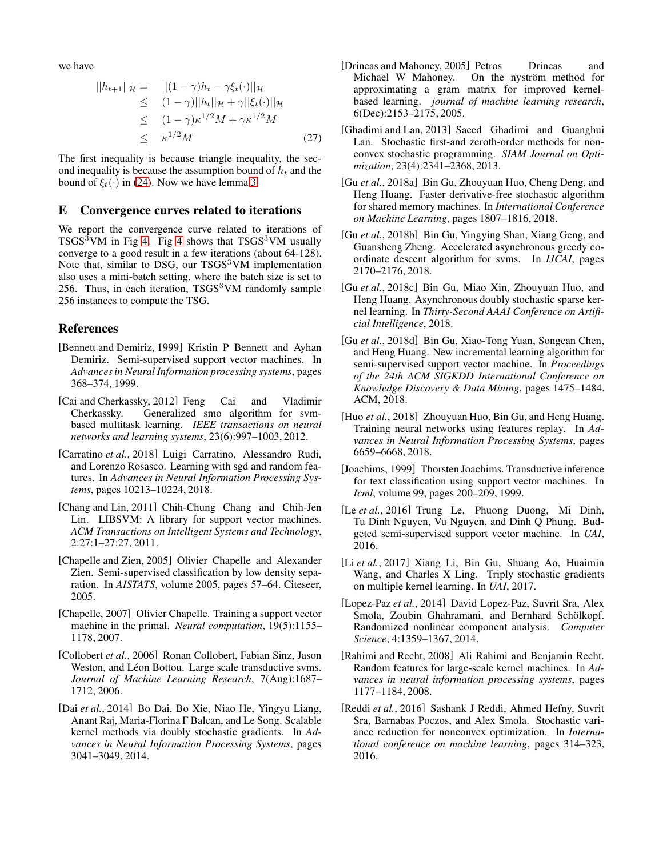we have

$$
||h_{t+1}||_{\mathcal{H}} = ||(1-\gamma)h_t - \gamma \xi_t(\cdot)||_{\mathcal{H}}
$$
  
\n
$$
\leq (1-\gamma)||h_t||_{\mathcal{H}} + \gamma||\xi_t(\cdot)||_{\mathcal{H}}
$$
  
\n
$$
\leq (1-\gamma)\kappa^{1/2}M + \gamma\kappa^{1/2}M
$$
  
\n
$$
\leq \kappa^{1/2}M
$$
 (27)

The first inequality is because triangle inequality, the second inequality is because the assumption bound of  $h_t$  and the bound of  $\xi_t(\cdot)$  in [\(24\)](#page-7-4). Now we have lemma [3.](#page-7-3)

#### E Convergence curves related to iterations

We report the convergence curve related to iterations of  $TSGS<sup>3</sup>VM$  in Fig [4.](#page-9-6) Fig [4](#page-9-6) shows that  $TSGS<sup>3</sup>VM$  usually converge to a good result in a few iterations (about 64-128). Note that, similar to DSG, our  $TSGS<sup>3</sup>VM implementation$ also uses a mini-batch setting, where the batch size is set to 256. Thus, in each iteration,  $TSGS<sup>3</sup>VM$  randomly sample 256 instances to compute the TSG.

#### References

- <span id="page-8-0"></span>[Bennett and Demiriz, 1999] Kristin P Bennett and Ayhan Demiriz. Semi-supervised support vector machines. In *Advances in Neural Information processing systems*, pages 368–374, 1999.
- <span id="page-8-19"></span>[Cai and Cherkassky, 2012] Feng Cai and Vladimir Cherkassky. Generalized smo algorithm for svmbased multitask learning. *IEEE transactions on neural networks and learning systems*, 23(6):997–1003, 2012.
- <span id="page-8-12"></span>[Carratino *et al.*, 2018] Luigi Carratino, Alessandro Rudi, and Lorenzo Rosasco. Learning with sgd and random features. In *Advances in Neural Information Processing Systems*, pages 10213–10224, 2018.
- <span id="page-8-2"></span>[Chang and Lin, 2011] Chih-Chung Chang and Chih-Jen Lin. LIBSVM: A library for support vector machines. *ACM Transactions on Intelligent Systems and Technology*, 2:27:1–27:27, 2011.
- <span id="page-8-15"></span>[Chapelle and Zien, 2005] Olivier Chapelle and Alexander Zien. Semi-supervised classification by low density separation. In *AISTATS*, volume 2005, pages 57–64. Citeseer, 2005.
- <span id="page-8-6"></span>[Chapelle, 2007] Olivier Chapelle. Training a support vector machine in the primal. *Neural computation*, 19(5):1155– 1178, 2007.
- <span id="page-8-8"></span>[Collobert *et al.*, 2006] Ronan Collobert, Fabian Sinz, Jason Weston, and Léon Bottou. Large scale transductive svms. *Journal of Machine Learning Research*, 7(Aug):1687– 1712, 2006.
- <span id="page-8-4"></span>[Dai *et al.*, 2014] Bo Dai, Bo Xie, Niao He, Yingyu Liang, Anant Raj, Maria-Florina F Balcan, and Le Song. Scalable kernel methods via doubly stochastic gradients. In *Advances in Neural Information Processing Systems*, pages 3041–3049, 2014.
- <span id="page-8-9"></span>[Drineas and Mahoney, 2005] Petros Drineas and Michael W Mahoney. On the nyström method for approximating a gram matrix for improved kernelbased learning. *journal of machine learning research*, 6(Dec):2153–2175, 2005.
- <span id="page-8-16"></span>[Ghadimi and Lan, 2013] Saeed Ghadimi and Guanghui Lan. Stochastic first-and zeroth-order methods for nonconvex stochastic programming. *SIAM Journal on Optimization*, 23(4):2341–2368, 2013.
- <span id="page-8-17"></span>[Gu *et al.*, 2018a] Bin Gu, Zhouyuan Huo, Cheng Deng, and Heng Huang. Faster derivative-free stochastic algorithm for shared memory machines. In *International Conference on Machine Learning*, pages 1807–1816, 2018.
- <span id="page-8-1"></span>[Gu *et al.*, 2018b] Bin Gu, Yingying Shan, Xiang Geng, and Guansheng Zheng. Accelerated asynchronous greedy coordinate descent algorithm for svms. In *IJCAI*, pages 2170–2176, 2018.
- <span id="page-8-14"></span>[Gu *et al.*, 2018c] Bin Gu, Miao Xin, Zhouyuan Huo, and Heng Huang. Asynchronous doubly stochastic sparse kernel learning. In *Thirty-Second AAAI Conference on Artificial Intelligence*, 2018.
- <span id="page-8-3"></span>[Gu *et al.*, 2018d] Bin Gu, Xiao-Tong Yuan, Songcan Chen, and Heng Huang. New incremental learning algorithm for semi-supervised support vector machine. In *Proceedings of the 24th ACM SIGKDD International Conference on Knowledge Discovery & Data Mining*, pages 1475–1484. ACM, 2018.
- <span id="page-8-18"></span>[Huo *et al.*, 2018] Zhouyuan Huo, Bin Gu, and Heng Huang. Training neural networks using features replay. In *Advances in Neural Information Processing Systems*, pages 6659–6668, 2018.
- <span id="page-8-5"></span>[Joachims, 1999] Thorsten Joachims. Transductive inference for text classification using support vector machines. In *Icml*, volume 99, pages 200–209, 1999.
- <span id="page-8-7"></span>[Le et al., 2016] Trung Le, Phuong Duong, Mi Dinh, Tu Dinh Nguyen, Vu Nguyen, and Dinh Q Phung. Budgeted semi-supervised support vector machine. In *UAI*, 2016.
- <span id="page-8-13"></span>[Li *et al.*, 2017] Xiang Li, Bin Gu, Shuang Ao, Huaimin Wang, and Charles X Ling. Triply stochastic gradients on multiple kernel learning. In *UAI*, 2017.
- <span id="page-8-11"></span>[Lopez-Paz *et al.*, 2014] David Lopez-Paz, Suvrit Sra, Alex Smola, Zoubin Ghahramani, and Bernhard Schölkopf. Randomized nonlinear component analysis. *Computer Science*, 4:1359–1367, 2014.
- <span id="page-8-10"></span>[Rahimi and Recht, 2008] Ali Rahimi and Benjamin Recht. Random features for large-scale kernel machines. In *Advances in neural information processing systems*, pages 1177–1184, 2008.
- <span id="page-8-20"></span>[Reddi *et al.*, 2016] Sashank J Reddi, Ahmed Hefny, Suvrit Sra, Barnabas Poczos, and Alex Smola. Stochastic variance reduction for nonconvex optimization. In *International conference on machine learning*, pages 314–323, 2016.